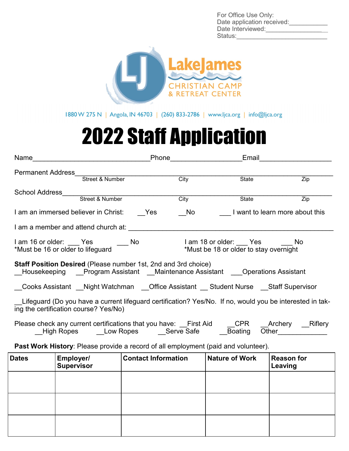For Office Use Only: Date application received: Date Interviewed: Status:



1880 W 275 N | Angola, IN 46703 | (260) 833-2786 | www.ljca.org | info@ljca.org

# 2022 Staff Application

| Name                                                                  |                                 | Phone |      | Email                                                                                                    |                  |
|-----------------------------------------------------------------------|---------------------------------|-------|------|----------------------------------------------------------------------------------------------------------|------------------|
| <b>Permanent Address</b>                                              |                                 |       |      |                                                                                                          |                  |
|                                                                       | Street & Number                 |       | City | State                                                                                                    | Zip              |
| School Address                                                        |                                 |       |      |                                                                                                          |                  |
|                                                                       | Street & Number                 |       | City | State                                                                                                    | $\overline{Zip}$ |
| I am an immersed believer in Christ:                                  |                                 | Yes   | No   | I want to learn more about this                                                                          |                  |
| I am a member and attend church at:                                   |                                 |       |      |                                                                                                          |                  |
| I am 16 or older: Yes No                                              |                                 |       |      | I am 18 or older: Yes No                                                                                 |                  |
| *Must be 16 or older to lifeguard                                     |                                 |       |      | *Must be 18 or older to stay overnight                                                                   |                  |
| <b>Staff Position Desired (Please number 1st, 2nd and 3rd choice)</b> |                                 |       |      | Housekeeping Program Assistant Maintenance Assistant Operations Assistant                                |                  |
|                                                                       |                                 |       |      | Cooks Assistant Night Watchman Office Assistant Student Nurse Staff Supervisor                           |                  |
| ing the certification course? Yes/No)                                 |                                 |       |      | -Lifeguard (Do you have a current lifeguard certification? Yes/No. If no, would you be interested in tak |                  |
|                                                                       | High Ropes Low Ropes Serve Safe |       |      | Please check any current certifications that you have: First Aid CPR Archery Riflery<br>Boating          | Other            |

#### **Past Work History**: Please provide a record of all employment (paid and volunteer).

| <b>Dates</b> | Employer/<br><b>Supervisor</b> | <b>Contact Information</b> | Nature of Work | <b>Reason for</b><br>Leaving |
|--------------|--------------------------------|----------------------------|----------------|------------------------------|
|              |                                |                            |                |                              |
|              |                                |                            |                |                              |
|              |                                |                            |                |                              |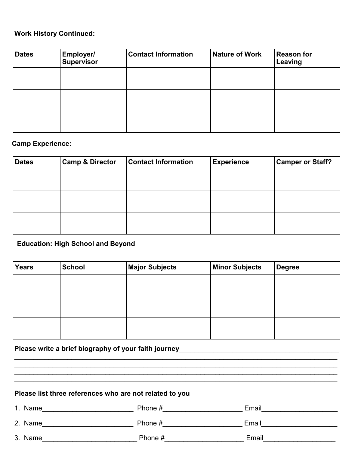### **Work History Continued:**

| <b>Dates</b> | <b>Employer/</b><br><b>Supervisor</b> | <b>Contact Information</b> | <b>Nature of Work</b> | <b>Reason for</b><br>Leaving |
|--------------|---------------------------------------|----------------------------|-----------------------|------------------------------|
|              |                                       |                            |                       |                              |
|              |                                       |                            |                       |                              |
|              |                                       |                            |                       |                              |

#### **Camp Experience:**

| <b>Dates</b> | <b>Camp &amp; Director</b> | <b>Contact Information</b> | <b>Experience</b> | <b>Camper or Staff?</b> |
|--------------|----------------------------|----------------------------|-------------------|-------------------------|
|              |                            |                            |                   |                         |
|              |                            |                            |                   |                         |
|              |                            |                            |                   |                         |
|              |                            |                            |                   |                         |
|              |                            |                            |                   |                         |
|              |                            |                            |                   |                         |

## **Education: High School and Beyond**

| Years | School | <b>Major Subjects</b> | <b>Minor Subjects</b> | <b>Degree</b> |
|-------|--------|-----------------------|-----------------------|---------------|
|       |        |                       |                       |               |
|       |        |                       |                       |               |
|       |        |                       |                       |               |
|       |        |                       |                       |               |
|       |        |                       |                       |               |
|       |        |                       |                       |               |

# Please write a brief biography of your faith journey\_\_\_\_\_\_\_\_\_\_\_\_\_\_\_\_\_\_\_\_\_\_\_\_\_\_\_\_

# **Please list three references who are not related to you**

| 1. Name | Phone # | Email |
|---------|---------|-------|
| 2. Name | Phone # | Email |
| 3. Name | Phone # | Email |

 $\mathcal{L}_\mathcal{L} = \{ \mathcal{L}_\mathcal{L} = \{ \mathcal{L}_\mathcal{L} = \{ \mathcal{L}_\mathcal{L} = \{ \mathcal{L}_\mathcal{L} = \{ \mathcal{L}_\mathcal{L} = \{ \mathcal{L}_\mathcal{L} = \{ \mathcal{L}_\mathcal{L} = \{ \mathcal{L}_\mathcal{L} = \{ \mathcal{L}_\mathcal{L} = \{ \mathcal{L}_\mathcal{L} = \{ \mathcal{L}_\mathcal{L} = \{ \mathcal{L}_\mathcal{L} = \{ \mathcal{L}_\mathcal{L} = \{ \mathcal{L}_\mathcal{$ 

 $\mathcal{L}_\mathcal{L}$  , and the contribution of the contribution of the contribution of the contribution of the contribution of the contribution of the contribution of the contribution of the contribution of the contribution of